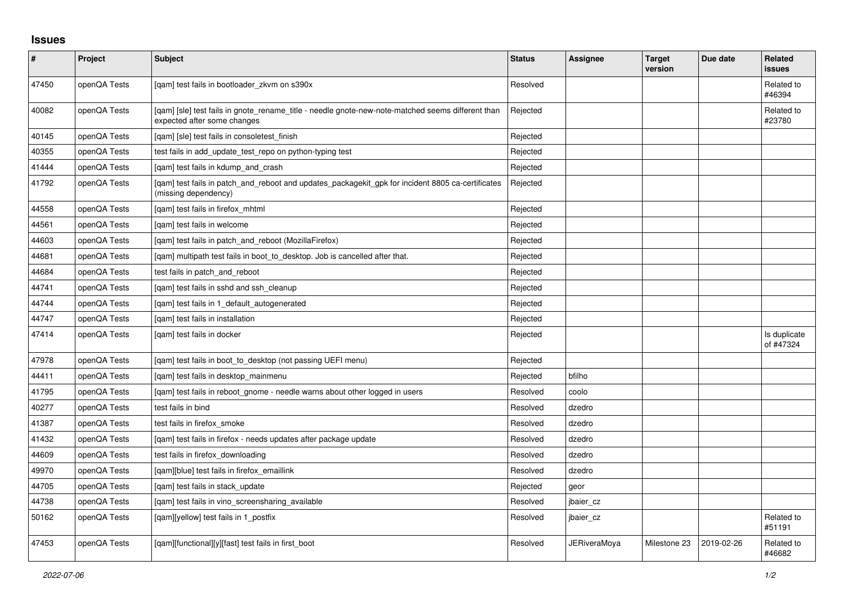## **Issues**

| #     | Project      | Subject                                                                                                                          | <b>Status</b> | Assignee            | <b>Target</b><br>version | Due date   | <b>Related</b><br><b>issues</b> |
|-------|--------------|----------------------------------------------------------------------------------------------------------------------------------|---------------|---------------------|--------------------------|------------|---------------------------------|
| 47450 | openQA Tests | [gam] test fails in bootloader zkvm on s390x                                                                                     | Resolved      |                     |                          |            | Related to<br>#46394            |
| 40082 | openQA Tests | [qam] [sle] test fails in gnote_rename_title - needle gnote-new-note-matched seems different than<br>expected after some changes | Rejected      |                     |                          |            | Related to<br>#23780            |
| 40145 | openQA Tests | [gam] [sle] test fails in consoletest finish                                                                                     | Rejected      |                     |                          |            |                                 |
| 40355 | openQA Tests | test fails in add_update_test_repo on python-typing test                                                                         | Rejected      |                     |                          |            |                                 |
| 41444 | openQA Tests | [gam] test fails in kdump and crash                                                                                              | Rejected      |                     |                          |            |                                 |
| 41792 | openQA Tests | [qam] test fails in patch_and_reboot and updates_packagekit_gpk for incident 8805 ca-certificates<br>(missing dependency)        | Rejected      |                     |                          |            |                                 |
| 44558 | openQA Tests | [gam] test fails in firefox mhtml                                                                                                | Rejected      |                     |                          |            |                                 |
| 44561 | openQA Tests | [gam] test fails in welcome                                                                                                      | Rejected      |                     |                          |            |                                 |
| 44603 | openQA Tests | [qam] test fails in patch_and_reboot (MozillaFirefox)                                                                            | Rejected      |                     |                          |            |                                 |
| 44681 | openQA Tests | [qam] multipath test fails in boot_to_desktop. Job is cancelled after that.                                                      | Rejected      |                     |                          |            |                                 |
| 44684 | openQA Tests | test fails in patch and reboot                                                                                                   | Rejected      |                     |                          |            |                                 |
| 44741 | openQA Tests | [qam] test fails in sshd and ssh_cleanup                                                                                         | Rejected      |                     |                          |            |                                 |
| 44744 | openQA Tests | [gam] test fails in 1 default autogenerated                                                                                      | Rejected      |                     |                          |            |                                 |
| 44747 | openQA Tests | [gam] test fails in installation                                                                                                 | Rejected      |                     |                          |            |                                 |
| 47414 | openQA Tests | [gam] test fails in docker                                                                                                       | Rejected      |                     |                          |            | Is duplicate<br>of #47324       |
| 47978 | openQA Tests | [gam] test fails in boot to desktop (not passing UEFI menu)                                                                      | Rejected      |                     |                          |            |                                 |
| 44411 | openQA Tests | [qam] test fails in desktop_mainmenu                                                                                             | Rejected      | bfilho              |                          |            |                                 |
| 41795 | openQA Tests | [gam] test fails in reboot gnome - needle warns about other logged in users                                                      | Resolved      | coolo               |                          |            |                                 |
| 40277 | openQA Tests | test fails in bind                                                                                                               | Resolved      | dzedro              |                          |            |                                 |
| 41387 | openQA Tests | test fails in firefox smoke                                                                                                      | Resolved      | dzedro              |                          |            |                                 |
| 41432 | openQA Tests | [qam] test fails in firefox - needs updates after package update                                                                 | Resolved      | dzedro              |                          |            |                                 |
| 44609 | openQA Tests | test fails in firefox downloading                                                                                                | Resolved      | dzedro              |                          |            |                                 |
| 49970 | openQA Tests | [gam][blue] test fails in firefox emaillink                                                                                      | Resolved      | dzedro              |                          |            |                                 |
| 44705 | openQA Tests | [qam] test fails in stack_update                                                                                                 | Rejected      | geor                |                          |            |                                 |
| 44738 | openQA Tests | [qam] test fails in vino_screensharing_available                                                                                 | Resolved      | jbaier_cz           |                          |            |                                 |
| 50162 | openQA Tests | [gam][yellow] test fails in 1 postfix                                                                                            | Resolved      | jbaier cz           |                          |            | Related to<br>#51191            |
| 47453 | openQA Tests | [qam][functional][y][fast] test fails in first_boot                                                                              | Resolved      | <b>JERiveraMoya</b> | Milestone 23             | 2019-02-26 | Related to<br>#46682            |